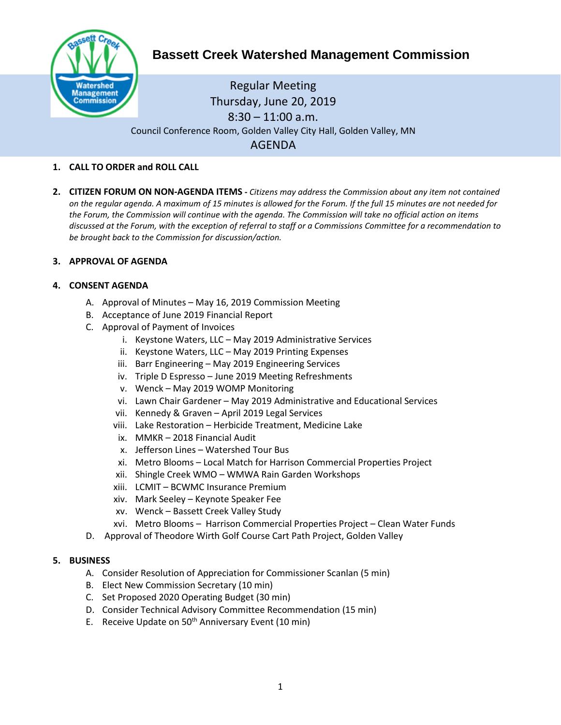

# **Bassett Creek Watershed Management Commission**

# Regular Meeting Thursday, June 20, 2019  $8:30 - 11:00$  a.m. Council Conference Room, Golden Valley City Hall, Golden Valley, MN AGENDA

# **1. CALL TO ORDER and ROLL CALL**

**2. CITIZEN FORUM ON NON-AGENDA ITEMS -** *Citizens may address the Commission about any item not contained on the regular agenda. A maximum of 15 minutes is allowed for the Forum. If the full 15 minutes are not needed for the Forum, the Commission will continue with the agenda. The Commission will take no official action on items discussed at the Forum, with the exception of referral to staff or a Commissions Committee for a recommendation to be brought back to the Commission for discussion/action.*

#### **3. APPROVAL OF AGENDA**

# **4. CONSENT AGENDA**

- A. Approval of Minutes May 16, 2019 Commission Meeting
- B. Acceptance of June 2019 Financial Report
- C. Approval of Payment of Invoices
	- i. Keystone Waters, LLC May 2019 Administrative Services
	- ii. Keystone Waters, LLC May 2019 Printing Expenses
	- iii. Barr Engineering May 2019 Engineering Services
	- iv. Triple D Espresso June 2019 Meeting Refreshments
	- v. Wenck May 2019 WOMP Monitoring
	- vi. Lawn Chair Gardener May 2019 Administrative and Educational Services
	- vii. Kennedy & Graven April 2019 Legal Services
	- viii. Lake Restoration Herbicide Treatment, Medicine Lake
	- ix. MMKR 2018 Financial Audit
	- x. Jefferson Lines Watershed Tour Bus
	- xi. Metro Blooms Local Match for Harrison Commercial Properties Project
	- xii. Shingle Creek WMO WMWA Rain Garden Workshops
	- xiii. LCMIT BCWMC Insurance Premium
	- xiv. Mark Seeley Keynote Speaker Fee
	- xv. Wenck Bassett Creek Valley Study
	- xvi. Metro Blooms Harrison Commercial Properties Project Clean Water Funds
- D. Approval of Theodore Wirth Golf Course Cart Path Project, Golden Valley

#### **5. BUSINESS**

- A. Consider Resolution of Appreciation for Commissioner Scanlan (5 min)
- B. Elect New Commission Secretary (10 min)
- C. Set Proposed 2020 Operating Budget (30 min)
- D. Consider Technical Advisory Committee Recommendation (15 min)
- E. Receive Update on  $50<sup>th</sup>$  Anniversary Event (10 min)